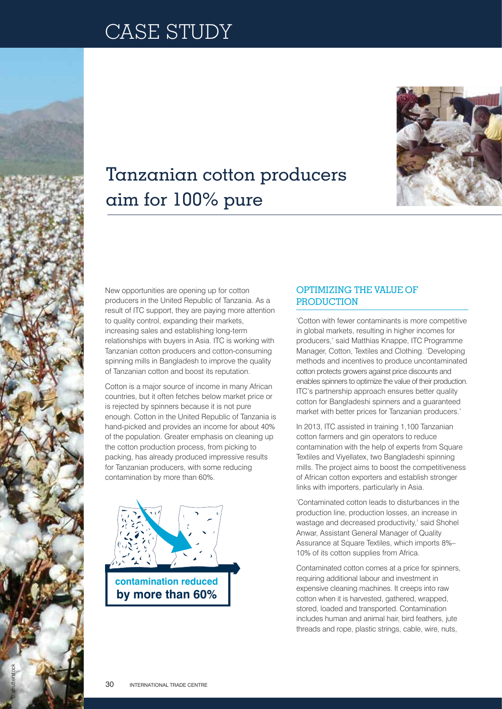

## Tanzanian cotton producers aim for 100% pure

New opportunities are opening up for cotton producers in the United Republic of Tanzania. As a result of ITC support, they are paying more attention to quality control, expanding their markets, increasing sales and establishing long-term relationships with buyers in Asia. ITC is working with Tanzanian cotton producers and cotton-consuming spinning mills in Bangladesh to improve the quality of Tanzanian cotton and boost its reputation.

Cotton is a major source of income in many African countries, but it often fetches below market price or is rejected by spinners because it is not pure enough. Cotton in the United Republic of Tanzania is hand-picked and provides an income for about 40% of the population. Greater emphasis on cleaning up the cotton production process, from picking to packing, has already produced impressive results for Tanzanian producers, with some reducing contamination by more than 60%.



## Optimizing the value of **PRODUCTION**

'Cotton with fewer contaminants is more competitive in global markets, resulting in higher incomes for producers,' said Matthias Knappe, ITC Programme Manager, Cotton, Textiles and Clothing. 'Developing methods and incentives to produce uncontaminated cotton protects growers against price discounts and enables spinners to optimize the value of their production. ITC's partnership approach ensures better quality cotton for Bangladeshi spinners and a guaranteed market with better prices for Tanzanian producers.'

In 2013, ITC assisted in training 1,100 Tanzanian cotton farmers and gin operators to reduce contamination with the help of experts from Square Textiles and Viyellatex, two Bangladeshi spinning mills. The project aims to boost the competitiveness of African cotton exporters and establish stronger links with importers, particularly in Asia.

'Contaminated cotton leads to disturbances in the production line, production losses, an increase in wastage and decreased productivity,' said Shohel Anwar, Assistant General Manager of Quality Assurance at Square Textiles, which imports 8%– 10% of its cotton supplies from Africa.

Contaminated cotton comes at a price for spinners, requiring additional labour and investment in expensive cleaning machines. It creeps into raw cotton when it is harvested, gathered, wrapped, stored, loaded and transported. Contamination includes human and animal hair, bird feathers, jute threads and rope, plastic strings, cable, wire, nuts,